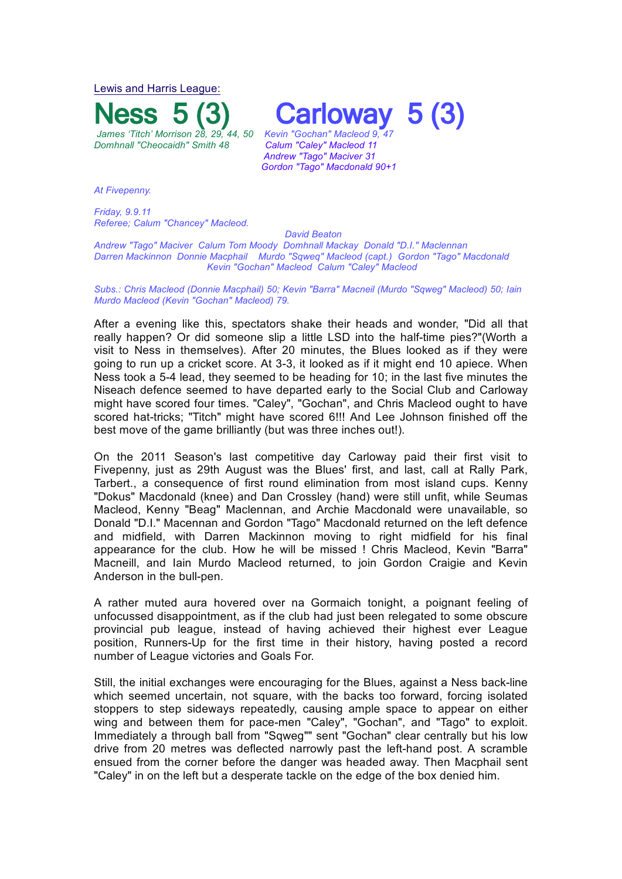Lewis and Harris League:



**Carloway**<br> **Kevin "Gochan"** Macleod 9.

*Andrew "Tago" Maciver 31 Gordon "Tago" Macdonald 90+1*

*At Fivepenny.*

*Friday, 9.9.11 Referee; Calum "Chancey" Macleod.*

 *David Beaton*

*Andrew "Tago" Maciver Calum Tom Moody Domhnall Mackay Donald "D.I." Maclennan Darren Mackinnon Donnie Macphail Murdo "Sqweq" Macleod (capt.) Gordon "Tago" Macdonald Kevin "Gochan" Macleod Calum "Caley" Macleod* 

*Subs.: Chris Macleod (Donnie Macphail) 50; Kevin "Barra" Macneil (Murdo "Sqweg" Macleod) 50; Iain Murdo Macleod (Kevin "Gochan" Macleod) 79.*

After a evening like this, spectators shake their heads and wonder, "Did all that really happen? Or did someone slip a little LSD into the half-time pies?"(Worth a visit to Ness in themselves). After 20 minutes, the Blues looked as if they were going to run up a cricket score. At 3-3, it looked as if it might end 10 apiece. When Ness took a 5-4 lead, they seemed to be heading for 10; in the last five minutes the Niseach defence seemed to have departed early to the Social Club and Carloway might have scored four times. "Caley", "Gochan", and Chris Macleod ought to have scored hat-tricks; "Titch" might have scored 6!!! And Lee Johnson finished off the best move of the game brilliantly (but was three inches out!).

On the 2011 Season's last competitive day Carloway paid their first visit to Fivepenny, just as 29th August was the Blues' first, and last, call at Rally Park, Tarbert., a consequence of first round elimination from most island cups. Kenny "Dokus" Macdonald (knee) and Dan Crossley (hand) were still unfit, while Seumas Macleod, Kenny "Beag" Maclennan, and Archie Macdonald were unavailable, so Donald "D.I." Macennan and Gordon "Tago" Macdonald returned on the left defence and midfield, with Darren Mackinnon moving to right midfield for his final appearance for the club. How he will be missed ! Chris Macleod, Kevin "Barra" Macneill, and Iain Murdo Macleod returned, to join Gordon Craigie and Kevin Anderson in the bull-pen.

A rather muted aura hovered over na Gormaich tonight, a poignant feeling of unfocussed disappointment, as if the club had just been relegated to some obscure provincial pub league, instead of having achieved their highest ever League position, Runners-Up for the first time in their history, having posted a record number of League victories and Goals For.

Still, the initial exchanges were encouraging for the Blues, against a Ness back-line which seemed uncertain, not square, with the backs too forward, forcing isolated stoppers to step sideways repeatedly, causing ample space to appear on either wing and between them for pace-men "Caley", "Gochan", and "Tago" to exploit. Immediately a through ball from "Sqweg"" sent "Gochan" clear centrally but his low drive from 20 metres was deflected narrowly past the left-hand post. A scramble ensued from the corner before the danger was headed away. Then Macphail sent "Caley" in on the left but a desperate tackle on the edge of the box denied him.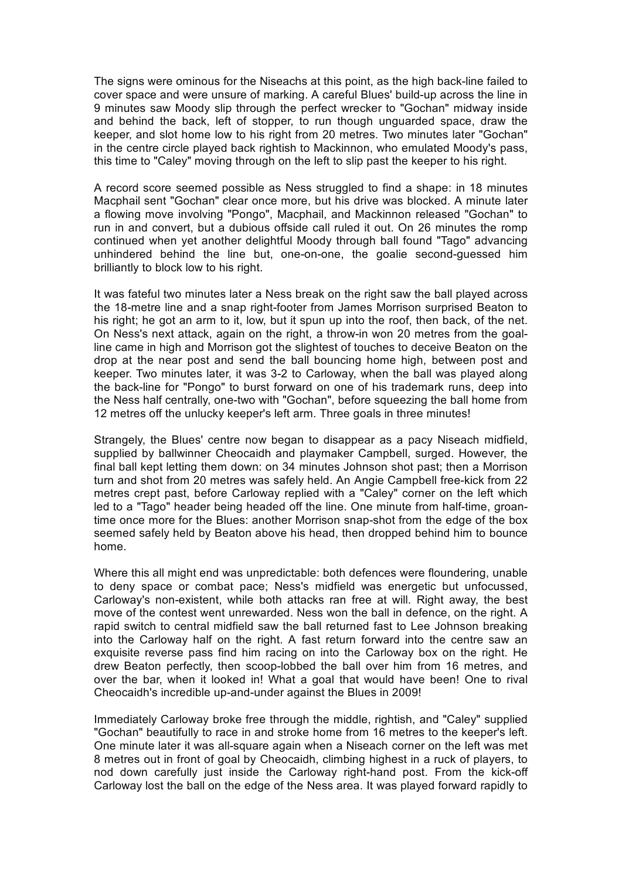The signs were ominous for the Niseachs at this point, as the high back-line failed to cover space and were unsure of marking. A careful Blues' build-up across the line in 9 minutes saw Moody slip through the perfect wrecker to "Gochan" midway inside and behind the back, left of stopper, to run though unguarded space, draw the keeper, and slot home low to his right from 20 metres. Two minutes later "Gochan" in the centre circle played back rightish to Mackinnon, who emulated Moody's pass, this time to "Caley" moving through on the left to slip past the keeper to his right.

A record score seemed possible as Ness struggled to find a shape: in 18 minutes Macphail sent "Gochan" clear once more, but his drive was blocked. A minute later a flowing move involving "Pongo", Macphail, and Mackinnon released "Gochan" to run in and convert, but a dubious offside call ruled it out. On 26 minutes the romp continued when yet another delightful Moody through ball found "Tago" advancing unhindered behind the line but, one-on-one, the goalie second-guessed him brilliantly to block low to his right.

It was fateful two minutes later a Ness break on the right saw the ball played across the 18-metre line and a snap right-footer from James Morrison surprised Beaton to his right; he got an arm to it, low, but it spun up into the roof, then back, of the net. On Ness's next attack, again on the right, a throw-in won 20 metres from the goalline came in high and Morrison got the slightest of touches to deceive Beaton on the drop at the near post and send the ball bouncing home high, between post and keeper. Two minutes later, it was 3-2 to Carloway, when the ball was played along the back-line for "Pongo" to burst forward on one of his trademark runs, deep into the Ness half centrally, one-two with "Gochan", before squeezing the ball home from 12 metres off the unlucky keeper's left arm. Three goals in three minutes!

Strangely, the Blues' centre now began to disappear as a pacy Niseach midfield, supplied by ballwinner Cheocaidh and playmaker Campbell, surged. However, the final ball kept letting them down: on 34 minutes Johnson shot past; then a Morrison turn and shot from 20 metres was safely held. An Angie Campbell free-kick from 22 metres crept past, before Carloway replied with a "Caley" corner on the left which led to a "Tago" header being headed off the line. One minute from half-time, groantime once more for the Blues: another Morrison snap-shot from the edge of the box seemed safely held by Beaton above his head, then dropped behind him to bounce home.

Where this all might end was unpredictable: both defences were floundering, unable to deny space or combat pace; Ness's midfield was energetic but unfocussed, Carloway's non-existent, while both attacks ran free at will. Right away, the best move of the contest went unrewarded. Ness won the ball in defence, on the right. A rapid switch to central midfield saw the ball returned fast to Lee Johnson breaking into the Carloway half on the right. A fast return forward into the centre saw an exquisite reverse pass find him racing on into the Carloway box on the right. He drew Beaton perfectly, then scoop-lobbed the ball over him from 16 metres, and over the bar, when it looked in! What a goal that would have been! One to rival Cheocaidh's incredible up-and-under against the Blues in 2009!

Immediately Carloway broke free through the middle, rightish, and "Caley" supplied "Gochan" beautifully to race in and stroke home from 16 metres to the keeper's left. One minute later it was all-square again when a Niseach corner on the left was met 8 metres out in front of goal by Cheocaidh, climbing highest in a ruck of players, to nod down carefully just inside the Carloway right-hand post. From the kick-off Carloway lost the ball on the edge of the Ness area. It was played forward rapidly to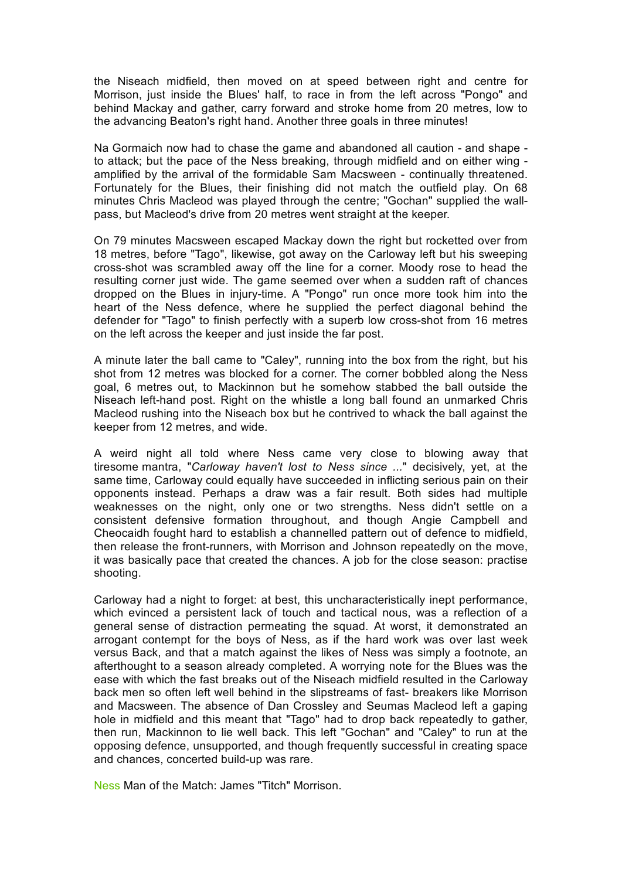the Niseach midfield, then moved on at speed between right and centre for Morrison, just inside the Blues' half, to race in from the left across "Pongo" and behind Mackay and gather, carry forward and stroke home from 20 metres, low to the advancing Beaton's right hand. Another three goals in three minutes!

Na Gormaich now had to chase the game and abandoned all caution - and shape to attack; but the pace of the Ness breaking, through midfield and on either wing amplified by the arrival of the formidable Sam Macsween - continually threatened. Fortunately for the Blues, their finishing did not match the outfield play. On 68 minutes Chris Macleod was played through the centre; "Gochan" supplied the wallpass, but Macleod's drive from 20 metres went straight at the keeper.

On 79 minutes Macsween escaped Mackay down the right but rocketted over from 18 metres, before "Tago", likewise, got away on the Carloway left but his sweeping cross-shot was scrambled away off the line for a corner. Moody rose to head the resulting corner just wide. The game seemed over when a sudden raft of chances dropped on the Blues in injury-time. A "Pongo" run once more took him into the heart of the Ness defence, where he supplied the perfect diagonal behind the defender for "Tago" to finish perfectly with a superb low cross-shot from 16 metres on the left across the keeper and just inside the far post.

A minute later the ball came to "Caley", running into the box from the right, but his shot from 12 metres was blocked for a corner. The corner bobbled along the Ness goal, 6 metres out, to Mackinnon but he somehow stabbed the ball outside the Niseach left-hand post. Right on the whistle a long ball found an unmarked Chris Macleod rushing into the Niseach box but he contrived to whack the ball against the keeper from 12 metres, and wide.

A weird night all told where Ness came very close to blowing away that tiresome mantra, "*Carloway haven't lost to Ness since ...*" decisively, yet, at the same time, Carloway could equally have succeeded in inflicting serious pain on their opponents instead. Perhaps a draw was a fair result. Both sides had multiple weaknesses on the night, only one or two strengths. Ness didn't settle on a consistent defensive formation throughout, and though Angie Campbell and Cheocaidh fought hard to establish a channelled pattern out of defence to midfield, then release the front-runners, with Morrison and Johnson repeatedly on the move, it was basically pace that created the chances. A job for the close season: practise shooting.

Carloway had a night to forget: at best, this uncharacteristically inept performance, which evinced a persistent lack of touch and tactical nous, was a reflection of a general sense of distraction permeating the squad. At worst, it demonstrated an arrogant contempt for the boys of Ness, as if the hard work was over last week versus Back, and that a match against the likes of Ness was simply a footnote, an afterthought to a season already completed. A worrying note for the Blues was the ease with which the fast breaks out of the Niseach midfield resulted in the Carloway back men so often left well behind in the slipstreams of fast- breakers like Morrison and Macsween. The absence of Dan Crossley and Seumas Macleod left a gaping hole in midfield and this meant that "Tago" had to drop back repeatedly to gather, then run, Mackinnon to lie well back. This left "Gochan" and "Caley" to run at the opposing defence, unsupported, and though frequently successful in creating space and chances, concerted build-up was rare.

Ness Man of the Match: James "Titch" Morrison.